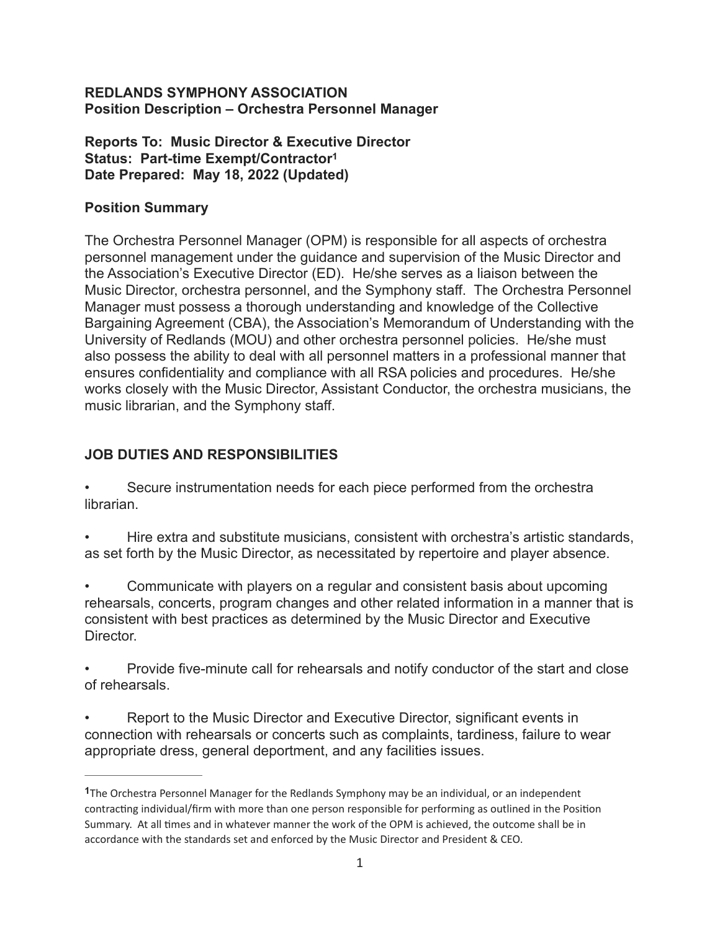#### **REDLANDS SYMPHONY ASSOCIATION Position Description – Orchestra Personnel Manager**

#### <span id="page-0-1"></span>**Reports To: Music Director & Executive Director Status: Part-time Exempt/Contractor[1](#page-0-0) Date Prepared: May 18, 2022 (Updated)**

### **Position Summary**

The Orchestra Personnel Manager (OPM) is responsible for all aspects of orchestra personnel management under the guidance and supervision of the Music Director and the Association's Executive Director (ED). He/she serves as a liaison between the Music Director, orchestra personnel, and the Symphony staff. The Orchestra Personnel Manager must possess a thorough understanding and knowledge of the Collective Bargaining Agreement (CBA), the Association's Memorandum of Understanding with the University of Redlands (MOU) and other orchestra personnel policies. He/she must also possess the ability to deal with all personnel matters in a professional manner that ensures confidentiality and compliance with all RSA policies and procedures. He/she works closely with the Music Director, Assistant Conductor, the orchestra musicians, the music librarian, and the Symphony staff.

# **JOB DUTIES AND RESPONSIBILITIES**

• Secure instrumentation needs for each piece performed from the orchestra librarian.

- Hire extra and substitute musicians, consistent with orchestra's artistic standards, as set forth by the Music Director, as necessitated by repertoire and player absence.
- Communicate with players on a regular and consistent basis about upcoming rehearsals, concerts, program changes and other related information in a manner that is consistent with best practices as determined by the Music Director and Executive Director.

• Provide five-minute call for rehearsals and notify conductor of the start and close of rehearsals.

• Report to the Music Director and Executive Director, significant events in connection with rehearsals or concerts such as complaints, tardiness, failure to wear appropriate dress, general deportment, and any facilities issues.

<span id="page-0-0"></span>The Orchestra Personnel Manager for the Redlands Symphony may be an individual, or an independent **[1](#page-0-1)** contracting individual/firm with more than one person responsible for performing as outlined in the Position Summary. At all times and in whatever manner the work of the OPM is achieved, the outcome shall be in accordance with the standards set and enforced by the Music Director and President & CEO.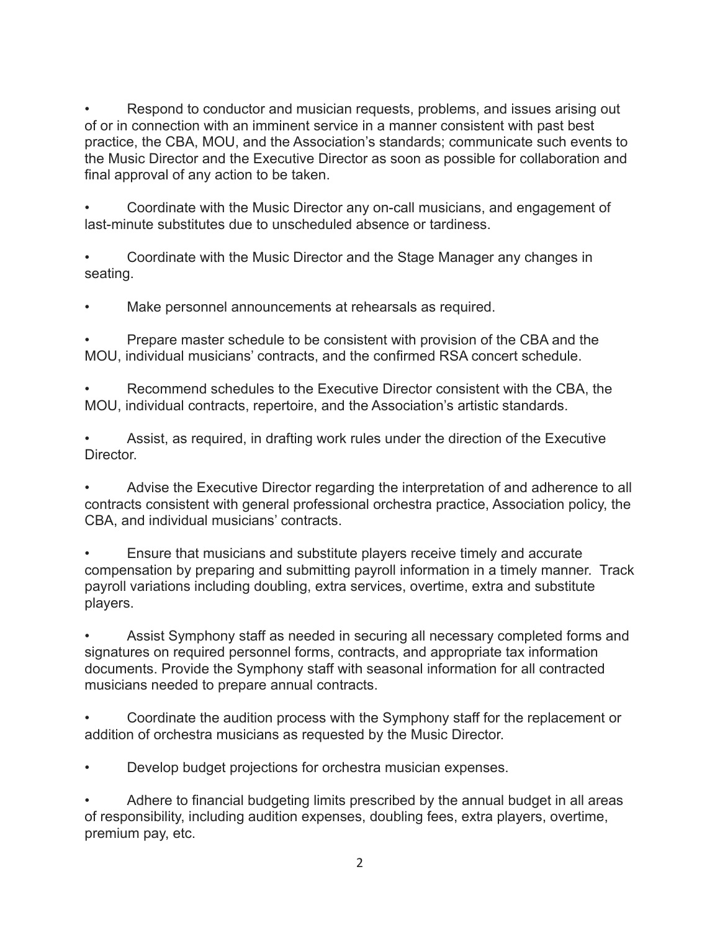• Respond to conductor and musician requests, problems, and issues arising out of or in connection with an imminent service in a manner consistent with past best practice, the CBA, MOU, and the Association's standards; communicate such events to the Music Director and the Executive Director as soon as possible for collaboration and final approval of any action to be taken.

• Coordinate with the Music Director any on-call musicians, and engagement of last-minute substitutes due to unscheduled absence or tardiness.

• Coordinate with the Music Director and the Stage Manager any changes in seating.

Make personnel announcements at rehearsals as required.

• Prepare master schedule to be consistent with provision of the CBA and the MOU, individual musicians' contracts, and the confirmed RSA concert schedule.

• Recommend schedules to the Executive Director consistent with the CBA, the MOU, individual contracts, repertoire, and the Association's artistic standards.

• Assist, as required, in drafting work rules under the direction of the Executive **Director** 

• Advise the Executive Director regarding the interpretation of and adherence to all contracts consistent with general professional orchestra practice, Association policy, the CBA, and individual musicians' contracts.

• Ensure that musicians and substitute players receive timely and accurate compensation by preparing and submitting payroll information in a timely manner. Track payroll variations including doubling, extra services, overtime, extra and substitute players.

• Assist Symphony staff as needed in securing all necessary completed forms and signatures on required personnel forms, contracts, and appropriate tax information documents. Provide the Symphony staff with seasonal information for all contracted musicians needed to prepare annual contracts.

• Coordinate the audition process with the Symphony staff for the replacement or addition of orchestra musicians as requested by the Music Director.

Develop budget projections for orchestra musician expenses.

Adhere to financial budgeting limits prescribed by the annual budget in all areas of responsibility, including audition expenses, doubling fees, extra players, overtime, premium pay, etc.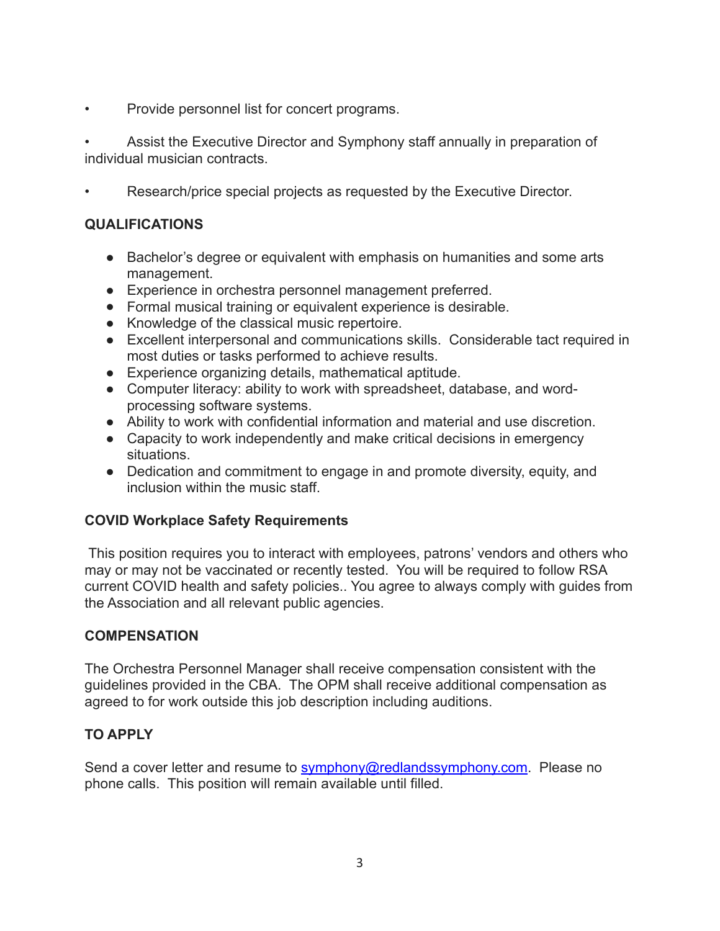• Provide personnel list for concert programs.

• Assist the Executive Director and Symphony staff annually in preparation of individual musician contracts.

• Research/price special projects as requested by the Executive Director.

# **QUALIFICATIONS**

- Bachelor's degree or equivalent with emphasis on humanities and some arts management.
- Experience in orchestra personnel management preferred.
- Formal musical training or equivalent experience is desirable.
- Knowledge of the classical music repertoire.
- Excellent interpersonal and communications skills. Considerable tact required in most duties or tasks performed to achieve results.
- Experience organizing details, mathematical aptitude.
- Computer literacy: ability to work with spreadsheet, database, and wordprocessing software systems.
- Ability to work with confidential information and material and use discretion.
- Capacity to work independently and make critical decisions in emergency situations.
- Dedication and commitment to engage in and promote diversity, equity, and inclusion within the music staff.

# **COVID Workplace Safety Requirements**

 This position requires you to interact with employees, patrons' vendors and others who may or may not be vaccinated or recently tested. You will be required to follow RSA current COVID health and safety policies.. You agree to always comply with guides from the Association and all relevant public agencies.

### **COMPENSATION**

The Orchestra Personnel Manager shall receive compensation consistent with the guidelines provided in the CBA. The OPM shall receive additional compensation as agreed to for work outside this job description including auditions.

# **TO APPLY**

Send a cover letter and resume to **symphony@redlandssymphony.com.** Please no phone calls. This position will remain available until filled.